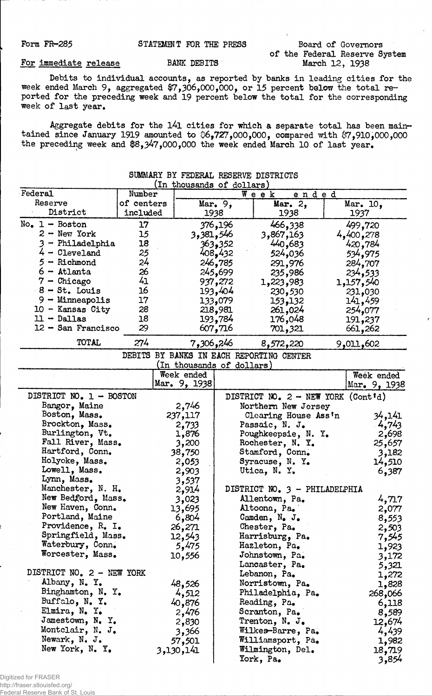| STATEMENT FOR THE PRESS<br><b>Form FR-285</b> |  |  |  |  |  |
|-----------------------------------------------|--|--|--|--|--|
|-----------------------------------------------|--|--|--|--|--|

## Board of Governors of the Federal Reserve System

For immediate release BANK DEBITS

Debits to individual accounts, as reported by banks in leading cities for the week ended March 9, aggregated #7,306,OCX),000, or 15 percent below the total reported for the preceding week and 19 percent below the total for the corresponding week of last year.

Aggregate debits for the l4l cities for which a separate total has been maintained since January 1919 amounted to 06,727,000,000, compared with \$7,910,000,000 the preceding week and \$8,347,000,000 the week ended March 10 of last year.

| (In thousands of dollars) |                                   |                           |           |                                             |  |                  |
|---------------------------|-----------------------------------|---------------------------|-----------|---------------------------------------------|--|------------------|
| Federal                   | Number<br>$W$ eek<br><u>ended</u> |                           |           |                                             |  |                  |
| Reserve                   | of centers                        |                           | Mar. $9,$ | Mar. $2,$                                   |  | Mar. 10,         |
| District                  | included                          |                           | 1938      | 1938                                        |  | 1937             |
| $No. 1 - Boston$          | 17                                |                           | 376,196   | 466,338                                     |  | 499,720          |
| $2 -$ New York            | 15                                | 3,381,546                 |           | 3,867,163                                   |  | 4,400,278        |
| 3 - Philadelphia          | 18                                |                           | 363,352   | 440,683                                     |  | 420,784          |
| $4 - Cleveland$           | 25                                |                           | 408,432   | 524,036                                     |  | 534,975          |
| $5 -$ Richmond            | 24                                |                           | 246,785   | 291,976                                     |  | 284,707          |
| $6 -$ Atlanta             | 26                                |                           | 245,699   | 235,986                                     |  | 234,533          |
| $7 -$ Chicago             | 41                                |                           | 937,272   | 1,223,983                                   |  | 1,157,540        |
| $8 - St.$ Louis           | 16                                |                           | 193,404   | 230,530                                     |  | 231,030          |
| $9 -$ Minneapolis         | 17                                |                           | 133,079   | 153,132                                     |  | 141,459          |
| 10 - Kansas City          | 28                                |                           | 218,981   | 261,024                                     |  | 254,077          |
| $11 - Dallas$             | 18                                |                           | 193,784   | 176,048                                     |  | 191,237          |
| $12 -$ San Francisco      | 29                                |                           | 607,716   | 701,321                                     |  | 661,262          |
| TOTAL                     | 274                               | 7,306,246                 |           |                                             |  |                  |
|                           |                                   |                           |           | 8,572,220                                   |  | 9,011,602        |
|                           |                                   | (In thousands of dollars) |           | DEBITS BY BANKS IN EACH REPORTING CENTER    |  |                  |
|                           |                                   | Week ended                |           |                                             |  | Week ended       |
|                           |                                   | Mar. 9, 1938              |           |                                             |  | Mar. 9, 1938     |
| DISTRICT NO. 1 - BOSTON   |                                   |                           |           | DISTRICT NO. $2 - \text{NEW}$ YORK (Cont'd) |  |                  |
| Bangor, Maine             |                                   | 2,746                     |           | Northern New Jersey                         |  |                  |
| Boston, Mass.             |                                   | 237,117                   |           | Clearing House Ass'n                        |  | 34,141           |
| Brockton, Mass.           |                                   | 2,733                     |           | Passaic, N. J.                              |  | 4,743            |
| Burlington, Vt.           |                                   | 1,876                     |           | Poughkeepsie, N. Y.                         |  | 2,698            |
| Fall River, Mass.         |                                   | 3,200                     |           | Rochester, N. Y.                            |  | 25,657           |
| Hartford, Conn.           |                                   | 38,750                    |           | Stamford, Conn.                             |  | 3,182            |
| Holyoke, Mass.            |                                   | 2,053                     |           | Syracuse, N. Y.                             |  | 14,510           |
| Lowell, Mass.             |                                   | 2,903                     |           | Utica, N. Y.                                |  | 6,387            |
| Lynn, Mass.               |                                   | 3,537                     |           |                                             |  |                  |
| Manchester, N. H.         |                                   | 2,914                     |           | DISTRICT NO. 3 - PHILADELPHIA               |  |                  |
| New Bedford, Mass.        |                                   | 3,023                     |           | Allentown, Pa.                              |  | 4,717            |
| New Haven, Conn.          |                                   | 13,695                    |           | Altoona, Pa.                                |  | 2,077            |
| Portland, Maine           |                                   | 6,804                     |           | Camden, N. J.                               |  | 8,553            |
| Providence, R. I.         |                                   | 26,271                    |           | Chester, Pa.                                |  | 2,503            |
| Springfield, Mass.        |                                   | 12,543                    |           | Harrisburg, Pa.                             |  | 7,545            |
| Waterbury, Conn.          |                                   | 5,475                     |           | Hazleton, Pa.                               |  | 1,923            |
| Worcester, Mass.          |                                   | 10,556                    |           | Johnstown, Pa.                              |  | 3,172            |
|                           |                                   |                           |           | Lancaster, Pa.                              |  | 5,321            |
| DISTRICT NO. 2 - NEW YORK |                                   |                           |           | Lebanon, Pa.                                |  | 1,272            |
| Albany, N.Y.              |                                   | 48,526                    |           | Norristown, Pa.                             |  | 1,828            |
| Binghamton, N. Y.         |                                   |                           |           | Philadelphia, Pa.                           |  |                  |
| Buffalo, N. Y.            |                                   | 4,512<br>40,876           |           | Reading, Pa.                                |  | 268,066<br>6,118 |
| Elmira, N. Y.             |                                   |                           |           |                                             |  |                  |
| Jamestown, N. Y.          |                                   | 2,476                     |           | Scranton, Pa.                               |  | 8,589            |
| Montclair, N. J.          |                                   | 2,830                     |           | Trenton, N. J.                              |  | 12,674           |
| Newark, N. J.             |                                   | 3,366                     |           | Wilkes-Barre, Pa.                           |  | 4,439            |
| New York, N. Y.           |                                   | 57,501                    |           | Williamsport, Pa.                           |  | 1,982            |
|                           |                                   | 3,130,141                 |           | Wilmington, Del.                            |  | 18,719           |
|                           |                                   |                           |           | York, Pa.                                   |  | 3,854            |

## SUMMARY BY FEDERAL RESERVE DISTRICTS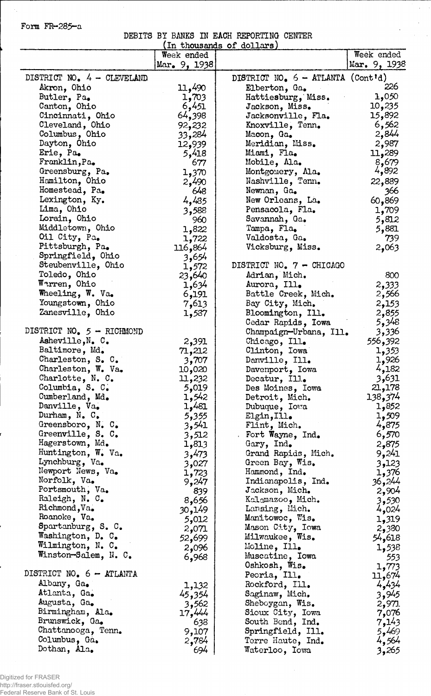Form FR-285-a

 $\mathcal{A}_1$ 

DEBITS BY BANKS IK EACH REPORTING CENTER

 $\hat{\mathcal{A}}$ 

 $\bar{\beta}$ 

 $\epsilon$ 

|                            |               | In thousands of dollars             |                  |
|----------------------------|---------------|-------------------------------------|------------------|
|                            | Week ended    |                                     | Week ended       |
|                            | Mar. 9, 1938  |                                     | Mar. 9, 1938     |
| DISTRICT NO. 4 - CLEVELAND |               | DISTRICT NO. $6 - ATLANTA$ (Cont'd) |                  |
| Akron, Ohio                | 11,490        | Elberton, Ga.                       | 226              |
|                            |               |                                     | 1,050            |
| Butler, Pa.                | 1,703         | Hattiesburg, Miss.                  | 10,235           |
| Canton, Ohio               | 6,451         | Jackson, Miss.                      |                  |
| Cincinnati, Ohio           | <b>64,398</b> | Jacksonville, Fla.                  | 15,892           |
| Cleveland, Ohio            | 92,232        | Knoxville, Tenn.                    | 6,562            |
| Columbus, Ohio             | 33,284        | Macon, Ga.                          | 2,844            |
| Dayton, Ohio               | 12,939        | Meridian, Miss.                     | 2,987            |
| Erie, Pa.                  | 5,418         | Miami, Fla.                         | 11,289           |
| Franklin, Pa.              | 677           | Mobile, Ala.                        | 8,679            |
| Greensburg, Pa.            | 1,370         | Montgomery, Ala.                    | 4,892            |
| Hamilton, Ohio             | 2,490         | Nashville, Tenn.                    | 22,889           |
| Homestead, Pa.             | 648           | Newnan, Ga.                         | 366              |
| Lexington, Ky.             | 4,485         | New Orleans, La.                    | 60,869           |
| Lima, Ohio                 | 3,588         | Pensacola, Fla.                     | 1,709            |
| Lorain, Ohio               | 960           | Savannah, Ga.                       | 5,812            |
| Middletown, Ohio           | 1,822         | Tampa, Fla.                         | 5,881            |
| Oil City, Pa.              | 1,722         | Valdosta, Ga.                       | 739              |
| Pittsburgh, Pa.            | 116,864       | Vicksburg, Miss.                    | 2,063            |
| Springfield, Ohio          | 3,654         |                                     |                  |
| Steubenville, Ohio         | 1,572         | DISTRICT NO. 7 - CHICAGO            |                  |
| Toledo, Ohio               | 23,640        | Adrian, Mich.                       | 800              |
| Warren, Ohio               | 1,634         | Aurora, Ill.                        | 2,333            |
| Wheeling, W. Va.           | 6,191         | Battle Creek, Mich.                 | 2,566            |
| Youngstown, Ohio           | 7,613         | Bay City, Mich.                     | 2,153            |
| Zanesville, Ohio           |               |                                     |                  |
|                            | 1,587         | Bloomington, Ill.                   | 2,855            |
|                            |               | Cedar Rapids, Iowa                  | 5,348            |
| DISTRICT NO. 5 - RICHMOND  |               | Champaign-Urbana, Ill.              | 3,336            |
| Asheville, N. C.           | 2,391         | Chicago, Ill.                       | 556,392          |
| Baltimore, Md.             | 71,212        | Clinton, Iowa                       | 1,353            |
| Charleston, S. C.          | 3,707         | Danville, Ill.                      | 1,926            |
| Charleston, W. Va.         | 10,020        | Davenport, Iowa                     | 4,182            |
| Charlotte, N. C.           | 11,232        | Decatur, Ill.                       | 3,631            |
| Columbia, S. C.            | 5,019         | Des Moines, Iowa                    | 21,178           |
| Cumberland, Md.            | 1,542         | Detroit, Mich.                      | 138 <b>,</b> 374 |
| Danville, Va.              | 1,481         | Dubuque, Iowa                       | 1,852            |
| Durham, $N_e$ $C_e$        | 5,355         | Elgin, Ill.                         | 1,509            |
| Greensboro, N. C.          | 3,541         | Flint, Mich.                        | 4,875            |
| Greenville, S. C.          | 3,512         | Fort Wayne, Ind.                    | 6,570            |
| Hagerstown, Md.            | 1,813         | Gary, Ind.                          | 2,875            |
| Huntington, W. Va.         | 3,473         | Grand Rapids, Mich.                 | 9,241            |
| Lynchburg, Va.             | 3,027         | Green Bay, Wis.                     | 3,123            |
| Newport News, Va.          | 1,723         | Hammond, Ind.                       | 1,376            |
| Norfolk, Va.               | 9,247         | Indianapolis, Ind.                  | 36,244           |
| Portsmouth, Va.            | 839           | Jackson, Mich.                      | 2,904            |
| Raleigh, N. C.             | 8,656         | Kalomazoo, Mich.                    | 3,530            |
| Richmond, Va.              | 30,149        | Lansing, Mich.                      | 4,024            |
| Roanoke, Va.               | 5,012         | Manitowoc, Wis.                     | 1,319            |
| Spartanburg, S. C.         | 2,071         | Mason City, Iowa                    | 2,380            |
| Washington, D. C.          |               | Milwaukee, Wis.                     | 54,618           |
| Wilmington, N. C.          | 52,699        | Moline, Ill.                        |                  |
| Winston-Salem, N. C.       | 2,096         |                                     | 1,538            |
|                            | 6,968         | Muscatine, Iowa                     | 553              |
| DISTRICT NO. 6 - ATLANTA   |               | Oshkosh, Wis.                       | 1,773            |
|                            |               | Peoria, Ill.                        | 11,674           |
| Albany, Ga.                | 1,132         | Rockford, Ill.                      | 4,434            |
| Atlanta, Ga.               | 45,354        | Saginaw, Mich.                      | 3,945            |
| Augusta, Ga.               | 3,562         | Sheboygan, Wis.                     | 2,971            |
| Birmingham, Ala.           | 17,444        | Sioux City, Iowa                    | 7,076            |
| Brunswick, Ga.             | 638           | South Bend, Ind.                    | 7,143            |
| Chattanooga, Tenn.         | 9,107         | Springfield, Ill.                   | 5,469            |
| Columbus, Ga.              | 2,784         | Terre Haute, Ind.                   | 4,564            |
| Dothan, Ala.               | 694           | Waterloo, Iowa                      | 3,265            |